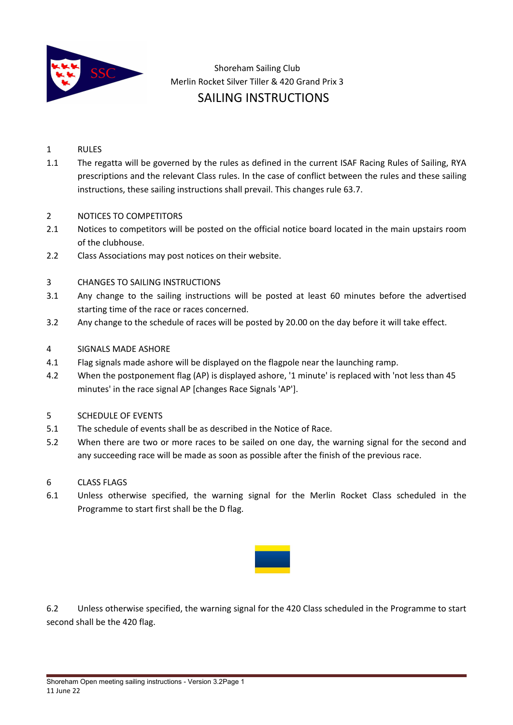

 Shoreham Sailing Club Merlin Rocket Silver Tiller & 420 Grand Prix 3 SAILING INSTRUCTIONS

- 1 RULES
- 1.1 The regatta will be governed by the rules as defined in the current ISAF Racing Rules of Sailing, RYA prescriptions and the relevant Class rules. In the case of conflict between the rules and these sailing instructions, these sailing instructions shall prevail. This changes rule 63.7.

#### 2 NOTICES TO COMPETITORS

- 2.1 Notices to competitors will be posted on the official notice board located in the main upstairs room of the clubhouse.
- 2.2 Class Associations may post notices on their website.

#### 3 CHANGES TO SAILING INSTRUCTIONS

- 3.1 Any change to the sailing instructions will be posted at least 60 minutes before the advertised starting time of the race or races concerned.
- 3.2 Any change to the schedule of races will be posted by 20.00 on the day before it will take effect.
- 4 SIGNALS MADE ASHORE
- 4.1 Flag signals made ashore will be displayed on the flagpole near the launching ramp.
- 4.2 When the postponement flag (AP) is displayed ashore, '1 minute' is replaced with 'not less than 45 minutes' in the race signal AP [changes Race Signals 'AP'].
- 5 SCHEDULE OF EVENTS
- 5.1 The schedule of events shall be as described in the Notice of Race.
- 5.2 When there are two or more races to be sailed on one day, the warning signal for the second and any succeeding race will be made as soon as possible after the finish of the previous race.
- 6 CLASS FLAGS
- 6.1 Unless otherwise specified, the warning signal for the Merlin Rocket Class scheduled in the Programme to start first shall be the D flag.



6.2 Unless otherwise specified, the warning signal for the 420 Class scheduled in the Programme to start second shall be the 420 flag.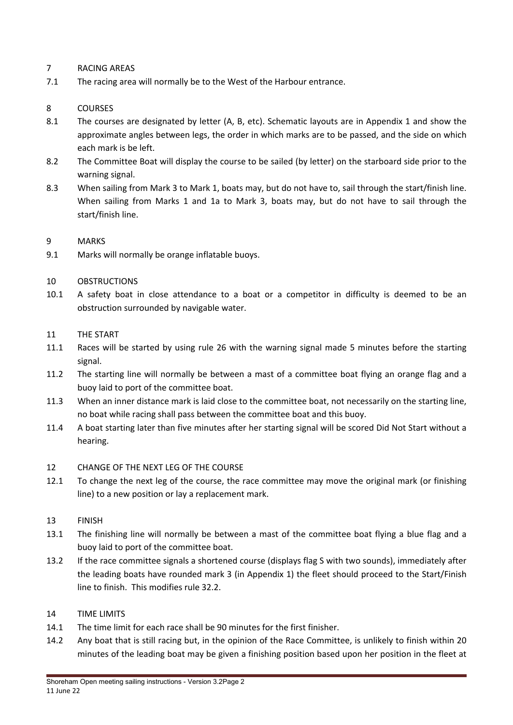# 7 RACING AREAS

7.1 The racing area will normally be to the West of the Harbour entrance.

# 8 COURSES

- 8.1 The courses are designated by letter (A, B, etc). Schematic layouts are in Appendix 1 and show the approximate angles between legs, the order in which marks are to be passed, and the side on which each mark is be left.
- 8.2 The Committee Boat will display the course to be sailed (by letter) on the starboard side prior to the warning signal.
- 8.3 When sailing from Mark 3 to Mark 1, boats may, but do not have to, sail through the start/finish line. When sailing from Marks 1 and 1a to Mark 3, boats may, but do not have to sail through the start/finish line.

# 9 MARKS

9.1 Marks will normally be orange inflatable buoys.

# 10 OBSTRUCTIONS

10.1 A safety boat in close attendance to a boat or a competitor in difficulty is deemed to be an obstruction surrounded by navigable water.

#### 11 THE START

- 11.1 Races will be started by using rule 26 with the warning signal made 5 minutes before the starting signal.
- 11.2 The starting line will normally be between a mast of a committee boat flying an orange flag and a buoy laid to port of the committee boat.
- 11.3 When an inner distance mark is laid close to the committee boat, not necessarily on the starting line, no boat while racing shall pass between the committee boat and this buoy.
- 11.4 A boat starting later than five minutes after her starting signal will be scored Did Not Start without a hearing.

# 12 CHANGE OF THE NEXT LEG OF THE COURSE

12.1 To change the next leg of the course, the race committee may move the original mark (or finishing line) to a new position or lay a replacement mark.

# 13 FINISH

- 13.1 The finishing line will normally be between a mast of the committee boat flying a blue flag and a buoy laid to port of the committee boat.
- 13.2 If the race committee signals a shortened course (displays flag S with two sounds), immediately after the leading boats have rounded mark 3 (in Appendix 1) the fleet should proceed to the Start/Finish line to finish. This modifies rule 32.2.

# 14 TIME LIMITS

- 14.1 The time limit for each race shall be 90 minutes for the first finisher.
- 14.2 Any boat that is still racing but, in the opinion of the Race Committee, is unlikely to finish within 20 minutes of the leading boat may be given a finishing position based upon her position in the fleet at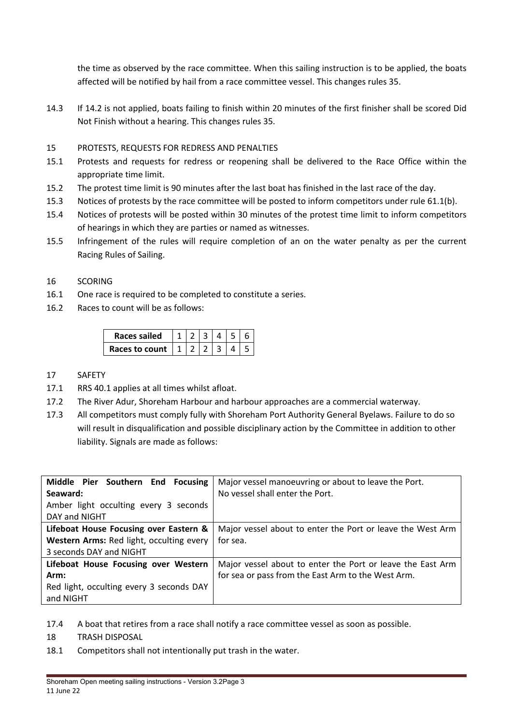the time as observed by the race committee. When this sailing instruction is to be applied, the boats affected will be notified by hail from a race committee vessel. This changes rules 35.

14.3 If 14.2 is not applied, boats failing to finish within 20 minutes of the first finisher shall be scored Did Not Finish without a hearing. This changes rules 35.

# 15 PROTESTS, REQUESTS FOR REDRESS AND PENALTIES

- 15.1 Protests and requests for redress or reopening shall be delivered to the Race Office within the appropriate time limit.
- 15.2 The protest time limit is 90 minutes after the last boat has finished in the last race of the day.
- 15.3 Notices of protests by the race committee will be posted to inform competitors under rule 61.1(b).
- 15.4 Notices of protests will be posted within 30 minutes of the protest time limit to inform competitors of hearings in which they are parties or named as witnesses.
- 15.5 Infringement of the rules will require completion of an on the water penalty as per the current Racing Rules of Sailing.

# 16 SCORING

- 16.1 One race is required to be completed to constitute a series.
- 16.2 Races to count will be as follows:

| <b>Races sailed</b>            |  |  |  |
|--------------------------------|--|--|--|
| Races to count $\vert 1 \vert$ |  |  |  |

- 17 SAFETY
- 17.1 RRS 40.1 applies at all times whilst afloat.
- 17.2 The River Adur, Shoreham Harbour and harbour approaches are a commercial waterway.
- 17.3 All competitors must comply fully with Shoreham Port Authority General Byelaws. Failure to do so will result in disqualification and possible disciplinary action by the Committee in addition to other liability. Signals are made as follows:

| Middle Pier Southern End Focusing        | Major vessel manoeuvring or about to leave the Port.       |  |  |  |
|------------------------------------------|------------------------------------------------------------|--|--|--|
| Seaward:                                 | No vessel shall enter the Port.                            |  |  |  |
| Amber light occulting every 3 seconds    |                                                            |  |  |  |
| DAY and NIGHT                            |                                                            |  |  |  |
| Lifeboat House Focusing over Eastern &   | Major vessel about to enter the Port or leave the West Arm |  |  |  |
| Western Arms: Red light, occulting every | for sea.                                                   |  |  |  |
| 3 seconds DAY and NIGHT                  |                                                            |  |  |  |
| Lifeboat House Focusing over Western     | Major vessel about to enter the Port or leave the East Arm |  |  |  |
| Arm:                                     | for sea or pass from the East Arm to the West Arm.         |  |  |  |
| Red light, occulting every 3 seconds DAY |                                                            |  |  |  |
| and NIGHT                                |                                                            |  |  |  |

- 17.4 A boat that retires from a race shall notify a race committee vessel as soon as possible.
- 18 TRASH DISPOSAL
- 18.1 Competitors shall not intentionally put trash in the water.